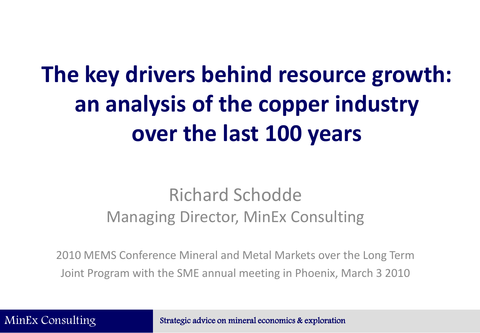# **The key drivers behind resource growth: an analysis of the copper industry over the last 100 years**

## Richard Schodde Managing Director, MinEx Consulting

2010 MEMS Conference Mineral and Metal Markets over the Long Term Joint Program with the SME annual meeting in Phoenix, March 3 2010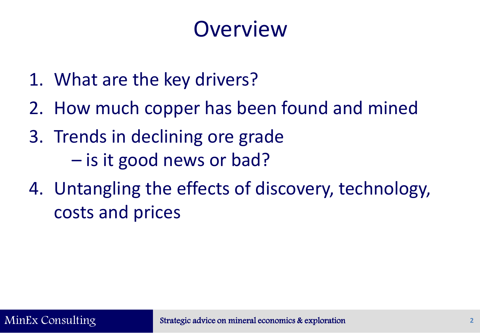# **Overview**

- 1. What are the key drivers?
- 2. How much copper has been found and mined
- 3. Trends in declining ore grade – is it good news or bad?
- 4. Untangling the effects of discovery, technology, costs and prices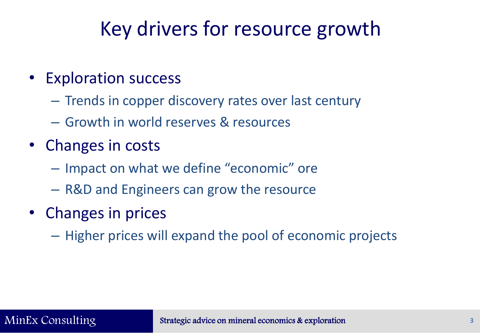# Key drivers for resource growth

- Exploration success
	- Trends in copper discovery rates over last century
	- Growth in world reserves & resources
- Changes in costs
	- Impact on what we define "economic" ore
	- R&D and Engineers can grow the resource
- Changes in prices
	- Higher prices will expand the pool of economic projects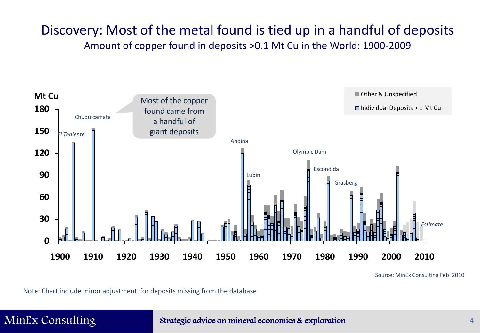## Discovery: Most of the metal found is tied up in a handful of deposits Amount of copper found in deposits >0.1 Mt Cu in the World: 1900-2009



Source: MinEx Consulting Feb 2010

Note: Chart include minor adjustment for deposits missing from the database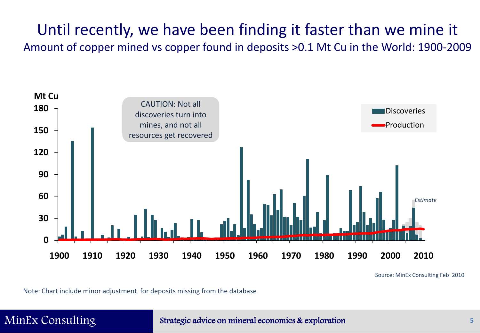## Until recently, we have been finding it faster than we mine it Amount of copper mined vs copper found in deposits >0.1 Mt Cu in the World: 1900-2009



Source: MinEx Consulting Feb 2010

Note: Chart include minor adjustment for deposits missing from the database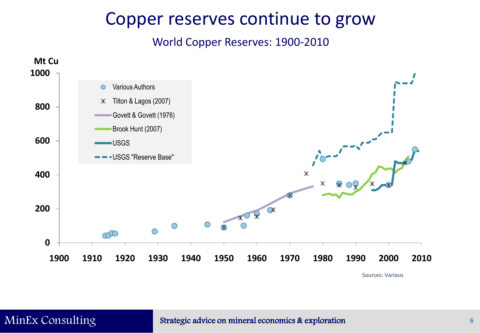## Copper reserves continue to grow

World Copper Reserves: 1900-2010

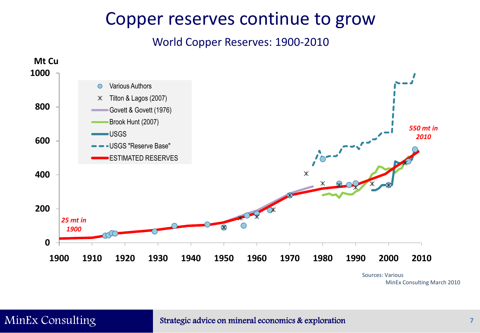## Copper reserves continue to grow

World Copper Reserves: 1900-2010



MinEx Consulting March 2010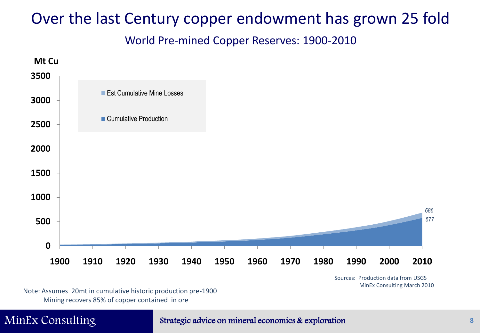World Pre-mined Copper Reserves: 1900-2010



Sources: Production data from USGS MinEx Consulting March 2010

Note: Assumes 20mt in cumulative historic production pre-1900 Mining recovers 85% of copper contained in ore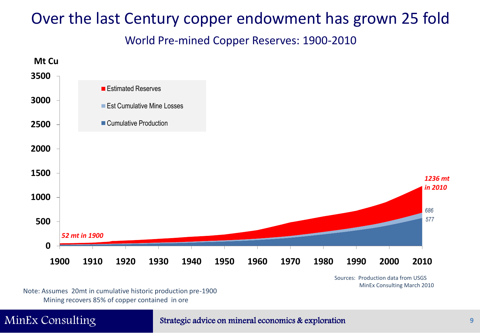World Pre-mined Copper Reserves: 1900-2010



Sources: Production data from USGS MinEx Consulting March 2010

Note: Assumes 20mt in cumulative historic production pre-1900 Mining recovers 85% of copper contained in ore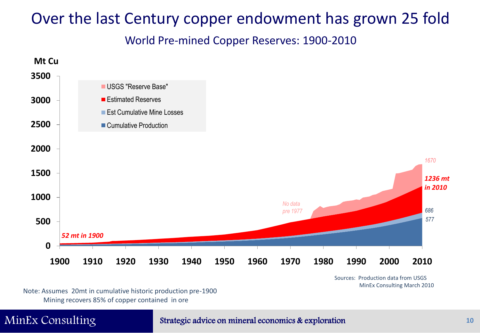World Pre-mined Copper Reserves: 1900-2010



Sources: Production data from USGS MinEx Consulting March 2010

Note: Assumes 20mt in cumulative historic production pre-1900 Mining recovers 85% of copper contained in ore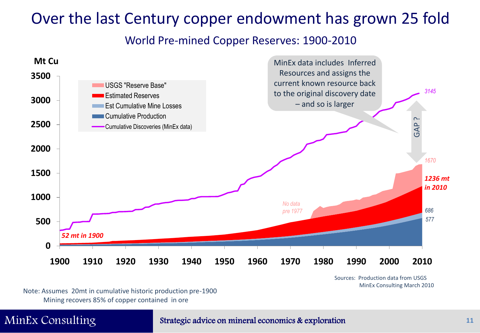### World Pre-mined Copper Reserves: 1900-2010



Sources: Production data from USGS MinEx Consulting March 2010

Note: Assumes 20mt in cumulative historic production pre-1900 Mining recovers 85% of copper contained in ore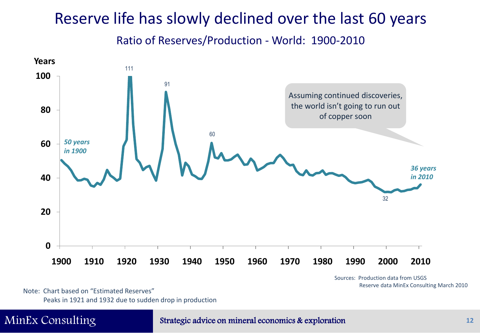## Reserve life has slowly declined over the last 60 years

Ratio of Reserves/Production - World: 1900-2010



Sources: Production data from USGS Reserve data MinEx Consulting March 2010

Note: Chart based on "Estimated Reserves" Peaks in 1921 and 1932 due to sudden drop in production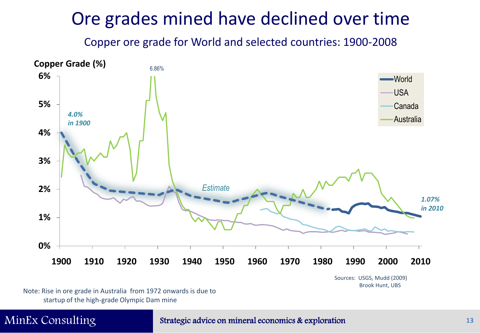## Ore grades mined have declined over time

Copper ore grade for World and selected countries: 1900-2008



Sources: USGS, Mudd (2009) Brook Hunt, UBS

Note: Rise in ore grade in Australia from 1972 onwards is due to startup of the high-grade Olympic Dam mine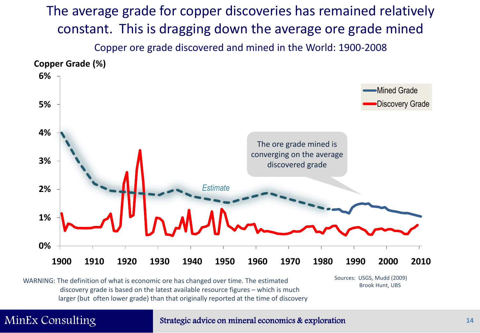The average grade for copper discoveries has remained relatively constant. This is dragging down the average ore grade mined Copper ore grade discovered and mined in the World: 1900-2008



WARNING: The definition of what is economic ore has changed over time. The estimated sources: USGS, Mudd (200<br>Brook Hunt, UBS discovery grade is based on the latest available resource figures – which is much larger (but often lower grade) than that originally reported at the time of discovery

Sources: USGS, Mudd (2009)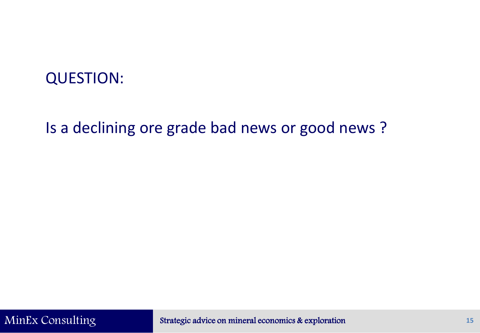## QUESTION:

## Is a declining ore grade bad news or good news ?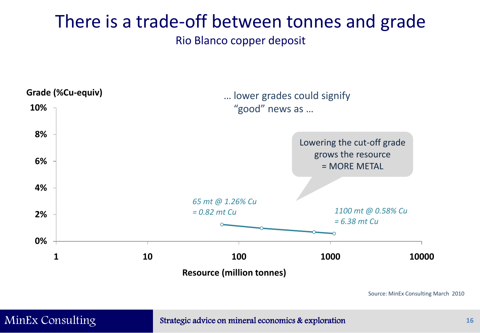## There is a trade-off between tonnes and grade Rio Blanco copper deposit



Source: MinEx Consulting March 2010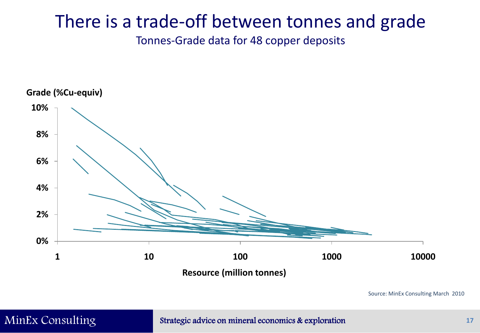## There is a trade-off between tonnes and grade

Tonnes-Grade data for 48 copper deposits



Source: MinEx Consulting March 2010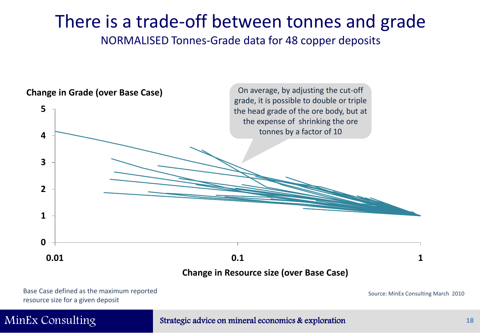# There is a trade-off between tonnes and grade

NORMALISED Tonnes-Grade data for 48 copper deposits



Base Case defined as the maximum reported resource size for a given deposit

Source: MinEx Consulting March 2010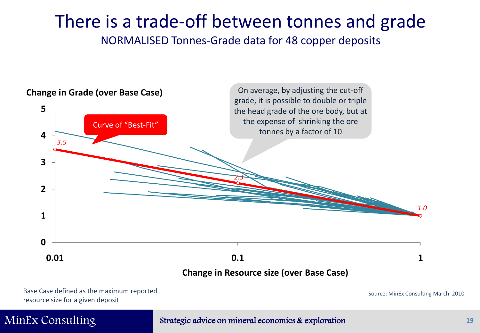# There is a trade-off between tonnes and grade

NORMALISED Tonnes-Grade data for 48 copper deposits



Base Case defined as the maximum reported resource size for a given deposit

Source: MinEx Consulting March 2010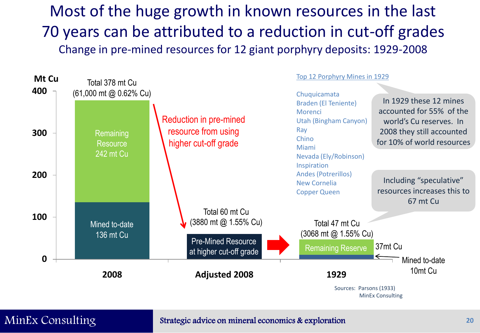Most of the huge growth in known resources in the last 70 years can be attributed to a reduction in cut-off grades Change in pre-mined resources for 12 giant porphyry deposits: 1929-2008

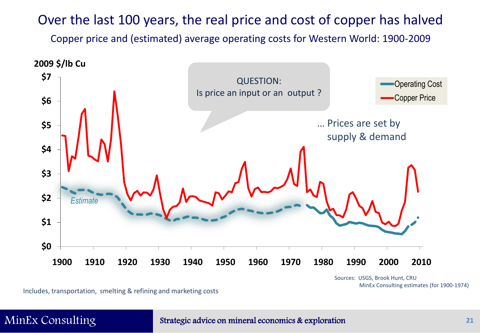## Over the last 100 years, the real price and cost of copper has halved

Copper price and (estimated) average operating costs for Western World: 1900-2009



Sources: USGS, Brook Hunt, CRU MinEx Consulting estimates (for 1900-1974)

Includes, transportation, smelting & refining and marketing costs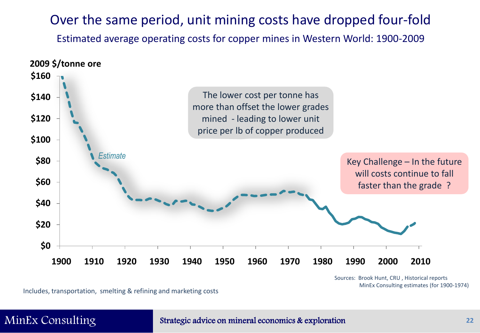## Over the same period, unit mining costs have dropped four-fold

Estimated average operating costs for copper mines in Western World: 1900-2009



Sources: Brook Hunt, CRU , Historical reports MinEx Consulting estimates (for 1900-1974)

Includes, transportation, smelting & refining and marketing costs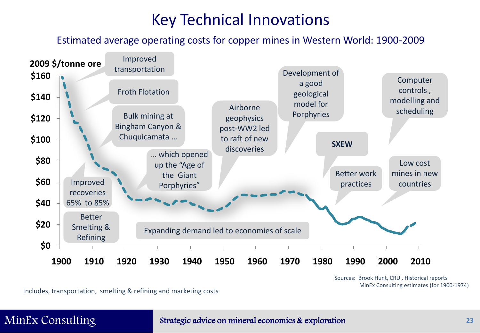## Key Technical Innovations

Estimated average operating costs for copper mines in Western World: 1900-2009



Sources: Brook Hunt, CRU , Historical reports MinEx Consulting estimates (for 1900-1974)

Includes, transportation, smelting & refining and marketing costs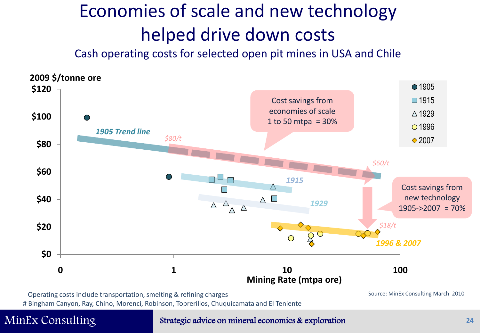# Economies of scale and new technology helped drive down costs

Cash operating costs for selected open pit mines in USA and Chile



Operating costs include transportation, smelting & refining charges

# Bingham Canyon, Ray, Chino, Morenci, Robinson, Toprerillos, Chuquicamata and El Teniente

### MinEx Consulting Strategic advice on mineral economics & exploration

Source: MinEx Consulting March 2010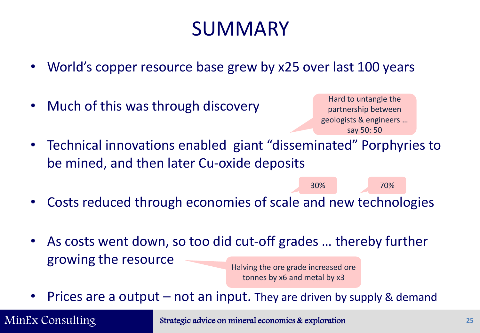# **SUMMARY**

- World's copper resource base grew by x25 over last 100 years
- Much of this was through discovery

Hard to untangle the partnership between geologists & engineers … say 50: 50

30% 70%

- Technical innovations enabled giant "disseminated" Porphyries to be mined, and then later Cu-oxide deposits
- Costs reduced through economies of scale and new technologies
- As costs went down, so too did cut-off grades … thereby further growing the resource

Halving the ore grade increased ore tonnes by x6 and metal by x3

Prices are a output  $-$  not an input. They are driven by supply & demand